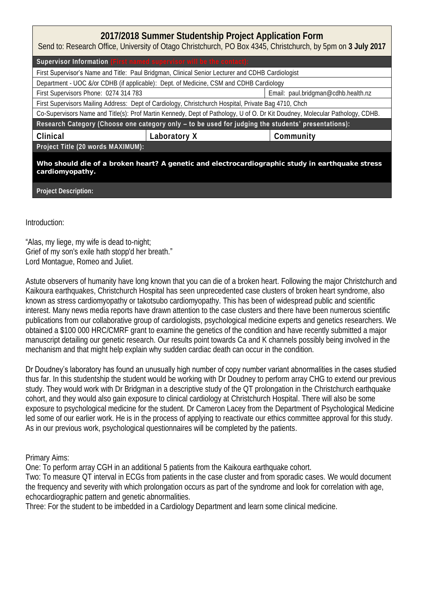## **2017/2018 Summer Studentship Project Application Form**

Send to: Research Office, University of Otago Christchurch, PO Box 4345, Christchurch, by 5pm on **3 July 2017**

| Supervisor Information (First named supervisor will be the contact):                                                         |              |                                     |  |  |
|------------------------------------------------------------------------------------------------------------------------------|--------------|-------------------------------------|--|--|
| First Supervisor's Name and Title: Paul Bridgman, Clinical Senior Lecturer and CDHB Cardiologist                             |              |                                     |  |  |
| Department - UOC &/or CDHB (if applicable): Dept. of Medicine, CSM and CDHB Cardiology                                       |              |                                     |  |  |
| First Supervisors Phone: 0274 314 783                                                                                        |              | Email: paul.bridgman@cdhb.health.nz |  |  |
| First Supervisors Mailing Address: Dept of Cardiology, Christchurch Hospital, Private Bag 4710, Chch                         |              |                                     |  |  |
| Co-Supervisors Name and Title(s): Prof Martin Kennedy, Dept of Pathology, U of O. Dr Kit Doudney, Molecular Pathology, CDHB. |              |                                     |  |  |
| Research Category (Choose one category only - to be used for judging the students' presentations):                           |              |                                     |  |  |
| Clinical                                                                                                                     | Laboratory X | Community                           |  |  |
| Project Title (20 words MAXIMUM):                                                                                            |              |                                     |  |  |
| Who should die of a broken heart? A genetic and electrocardiographic study in earthquake stress<br>cardiomyopathy.           |              |                                     |  |  |

**Project Description:**

Introduction:

"Alas, my liege, my wife is dead to-night; Grief of my son's exile hath stopp'd her breath." Lord Montague, Romeo and Juliet.

Astute observers of humanity have long known that you can die of a broken heart. Following the major Christchurch and Kaikoura earthquakes, Christchurch Hospital has seen unprecedented case clusters of broken heart syndrome, also known as stress cardiomyopathy or takotsubo cardiomyopathy. This has been of widespread public and scientific interest. Many news media reports have drawn attention to the case clusters and there have been numerous scientific publications from our collaborative group of cardiologists, psychological medicine experts and genetics researchers. We obtained a \$100 000 HRC/CMRF grant to examine the genetics of the condition and have recently submitted a major manuscript detailing our genetic research. Our results point towards Ca and K channels possibly being involved in the mechanism and that might help explain why sudden cardiac death can occur in the condition.

Dr Doudney's laboratory has found an unusually high number of copy number variant abnormalities in the cases studied

thus far. In this studentship the student would be working with Dr Doudney to perform array CHG to extend our previous study. They would work with Dr Bridgman in a descriptive study of the QT prolongation in the Christchurch earthquake cohort, and they would also gain exposure to clinical cardiology at Christchurch Hospital. There will also be some exposure to psychological medicine for the student. Dr Cameron Lacey from the Department of Psychological Medicine led some of our earlier work. He is in the process of applying to reactivate our ethics committee approval for this study. As in our previous work, psychological questionnaires will be completed by the patients.

Primary Aims:

One: To perform array CGH in an additional 5 patients from the Kaikoura earthquake cohort.

Two: To measure QT interval in ECGs from patients in the case cluster and from sporadic cases. We would document the frequency and severity with which prolongation occurs as part of the syndrome and look for correlation with age, echocardiographic pattern and genetic abnormalities.

Three: For the student to be imbedded in a Cardiology Department and learn some clinical medicine.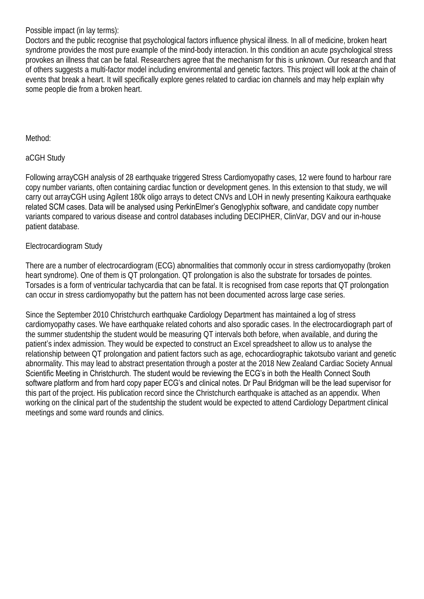Possible impact (in lay terms):

Doctors and the public recognise that psychological factors influence physical illness. In all of medicine, broken heart syndrome provides the most pure example of the mind-body interaction. In this condition an acute psychological stress provokes an illness that can be fatal. Researchers agree that the mechanism for this is unknown. Our research and that of others suggests a multi-factor model including environmental and genetic factors. This project will look at the chain of events that break a heart. It will specifically explore genes related to cardiac ion channels and may help explain why some people die from a broken heart.

Method:

aCGH Study

Following arrayCGH analysis of 28 earthquake triggered Stress Cardiomyopathy cases, 12 were found to harbour rare copy number variants, often containing cardiac function or development genes. In this extension to that study, we will carry out arrayCGH using Agilent 180k oligo arrays to detect CNVs and LOH in newly presenting Kaikoura earthquake related SCM cases. Data will be analysed using PerkinElmer's Genoglyphix software, and candidate copy number variants compared to various disease and control databases including DECIPHER, ClinVar, DGV and our in-house patient database.

## Electrocardiogram Study

There are a number of electrocardiogram (ECG) abnormalities that commonly occur in stress cardiomyopathy (broken heart syndrome). One of them is QT prolongation. QT prolongation is also the substrate for torsades de pointes. Torsades is a form of ventricular tachycardia that can be fatal. It is recognised from case reports that QT prolongation can occur in stress cardiomyopathy but the pattern has not been documented across large case series.

Since the September 2010 Christchurch earthquake Cardiology Department has maintained a log of stress cardiomyopathy cases. We have earthquake related cohorts and also sporadic cases. In the electrocardiograph part of the summer studentship the student would be measuring QT intervals both before, when available, and during the patient's index admission. They would be expected to construct an Excel spreadsheet to allow us to analyse the relationship between QT prolongation and patient factors such as age, echocardiographic takotsubo variant and genetic abnormality. This may lead to abstract presentation through a poster at the 2018 New Zealand Cardiac Society Annual Scientific Meeting in Christchurch. The student would be reviewing the ECG's in both the Health Connect South software platform and from hard copy paper ECG's and clinical notes. Dr Paul Bridgman will be the lead supervisor for this part of the project. His publication record since the Christchurch earthquake is attached as an appendix. When working on the clinical part of the studentship the student would be expected to attend Cardiology Department clinical meetings and some ward rounds and clinics.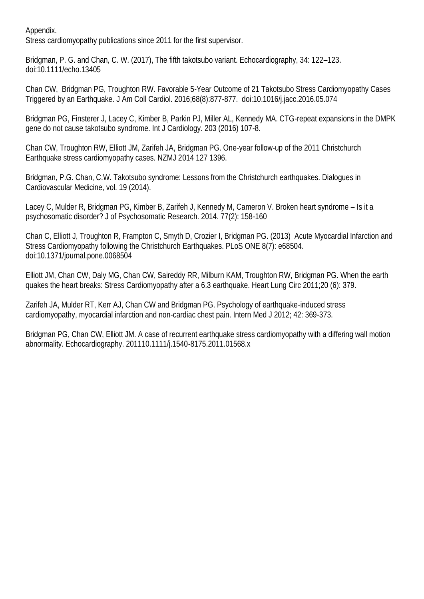Appendix.

Stress cardiomyopathy publications since 2011 for the first supervisor.

Bridgman, P. G. and Chan, C. W. (2017), The fifth takotsubo variant. Echocardiography, 34: 122–123. doi:10.1111/echo.13405

Chan CW, Bridgman PG, Troughton RW. Favorable 5-Year Outcome of 21 Takotsubo Stress Cardiomyopathy Cases Triggered by an Earthquake. J Am Coll Cardiol. 2016;68(8):877-877. doi:10.1016/j.jacc.2016.05.074

Bridgman PG, Finsterer J, Lacey C, Kimber B, Parkin PJ, Miller AL, Kennedy MA. CTG-repeat expansions in the DMPK gene do not cause takotsubo syndrome. Int J Cardiology. 203 (2016) 107-8.

Chan CW, Troughton RW, Elliott JM, Zarifeh JA, Bridgman PG. One-year follow-up of the 2011 Christchurch Earthquake stress cardiomyopathy cases. NZMJ 2014 127 1396.

Bridgman, P.G. Chan, C.W. Takotsubo syndrome: Lessons from the Christchurch earthquakes. Dialogues in Cardiovascular Medicine, vol. 19 (2014).

Lacey C, Mulder R, Bridgman PG, Kimber B, Zarifeh J, Kennedy M, Cameron V. Broken heart syndrome – Is it a psychosomatic disorder? J of Psychosomatic Research. 2014. 77(2): 158-160

Chan C, Elliott J, Troughton R, Frampton C, Smyth D, Crozier I, Bridgman PG. (2013) Acute Myocardial Infarction and Stress Cardiomyopathy following the Christchurch Earthquakes. PLoS ONE 8(7): e68504. doi:10.1371/journal.pone.0068504

Elliott JM, Chan CW, Daly MG, Chan CW, Saireddy RR, Milburn KAM, Troughton RW, Bridgman PG. When the earth quakes the heart breaks: Stress Cardiomyopathy after a 6.3 earthquake. Heart Lung Circ 2011;20 (6): 379.

Zarifeh JA, Mulder RT, Kerr AJ, Chan CW and Bridgman PG. Psychology of earthquake-induced stress cardiomyopathy, myocardial infarction and non-cardiac chest pain. Intern Med J 2012; 42: 369-373.

Bridgman PG, Chan CW, Elliott JM. A case of recurrent earthquake stress cardiomyopathy with a differing wall motion abnormality. Echocardiography. 201110.1111/j.1540-8175.2011.01568.x